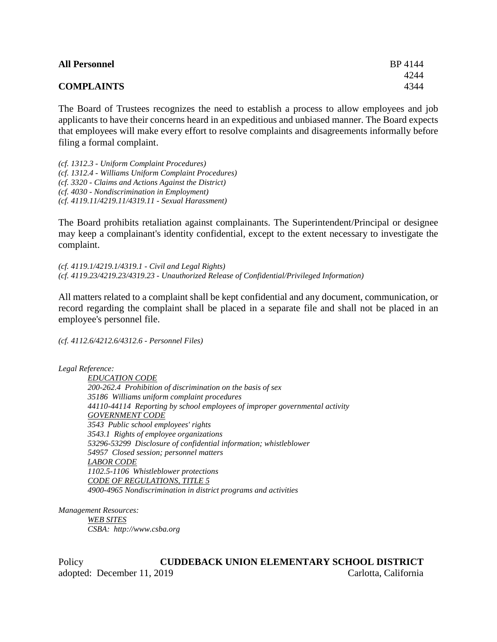| <b>All Personnel</b> | BP 4144 |
|----------------------|---------|
|                      | 4244    |
| <b>COMPLAINTS</b>    | 4344    |

The Board of Trustees recognizes the need to establish a process to allow employees and job applicants to have their concerns heard in an expeditious and unbiased manner. The Board expects that employees will make every effort to resolve complaints and disagreements informally before filing a formal complaint.

*(cf. 1312.3 - Uniform Complaint Procedures) (cf. 1312.4 - Williams Uniform Complaint Procedures) (cf. 3320 - Claims and Actions Against the District) (cf. 4030 - Nondiscrimination in Employment) (cf. 4119.11/4219.11/4319.11 - Sexual Harassment)*

The Board prohibits retaliation against complainants. The Superintendent/Principal or designee may keep a complainant's identity confidential, except to the extent necessary to investigate the complaint.

*(cf. 4119.1/4219.1/4319.1 - Civil and Legal Rights) (cf. 4119.23/4219.23/4319.23 - Unauthorized Release of Confidential/Privileged Information)*

All matters related to a complaint shall be kept confidential and any document, communication, or record regarding the complaint shall be placed in a separate file and shall not be placed in an employee's personnel file.

*(cf. 4112.6/4212.6/4312.6 - Personnel Files)*

*Legal Reference:*

*EDUCATION CODE 200-262.4 Prohibition of discrimination on the basis of sex 35186 Williams uniform complaint procedures 44110-44114 Reporting by school employees of improper governmental activity GOVERNMENT CODE 3543 Public school employees' rights 3543.1 Rights of employee organizations 53296-53299 Disclosure of confidential information; whistleblower 54957 Closed session; personnel matters LABOR CODE 1102.5-1106 Whistleblower protections CODE OF REGULATIONS, TITLE 5 4900-4965 Nondiscrimination in district programs and activities*

*Management Resources: WEB SITES CSBA: http://www.csba.org*

Policy **CUDDEBACK UNION ELEMENTARY SCHOOL DISTRICT** adopted: December 11, 2019 Carlotta, California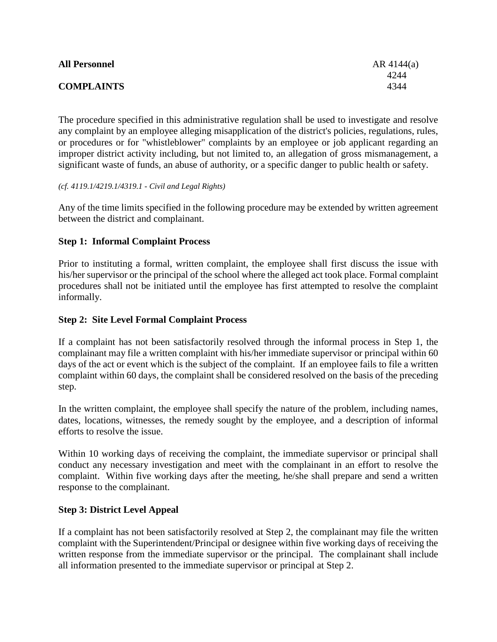| <b>All Personnel</b> | $AR$ 4144(a) |
|----------------------|--------------|
|                      | 4244         |
| <b>COMPLAINTS</b>    | 4344         |

The procedure specified in this administrative regulation shall be used to investigate and resolve any complaint by an employee alleging misapplication of the district's policies, regulations, rules, or procedures or for "whistleblower" complaints by an employee or job applicant regarding an improper district activity including, but not limited to, an allegation of gross mismanagement, a significant waste of funds, an abuse of authority, or a specific danger to public health or safety.

#### *(cf. 4119.1/4219.1/4319.1 - Civil and Legal Rights)*

Any of the time limits specified in the following procedure may be extended by written agreement between the district and complainant.

# **Step 1: Informal Complaint Process**

Prior to instituting a formal, written complaint, the employee shall first discuss the issue with his/her supervisor or the principal of the school where the alleged act took place. Formal complaint procedures shall not be initiated until the employee has first attempted to resolve the complaint informally.

## **Step 2: Site Level Formal Complaint Process**

If a complaint has not been satisfactorily resolved through the informal process in Step 1, the complainant may file a written complaint with his/her immediate supervisor or principal within 60 days of the act or event which is the subject of the complaint. If an employee fails to file a written complaint within 60 days, the complaint shall be considered resolved on the basis of the preceding step.

In the written complaint, the employee shall specify the nature of the problem, including names, dates, locations, witnesses, the remedy sought by the employee, and a description of informal efforts to resolve the issue.

Within 10 working days of receiving the complaint, the immediate supervisor or principal shall conduct any necessary investigation and meet with the complainant in an effort to resolve the complaint. Within five working days after the meeting, he/she shall prepare and send a written response to the complainant.

## **Step 3: District Level Appeal**

If a complaint has not been satisfactorily resolved at Step 2, the complainant may file the written complaint with the Superintendent/Principal or designee within five working days of receiving the written response from the immediate supervisor or the principal. The complainant shall include all information presented to the immediate supervisor or principal at Step 2.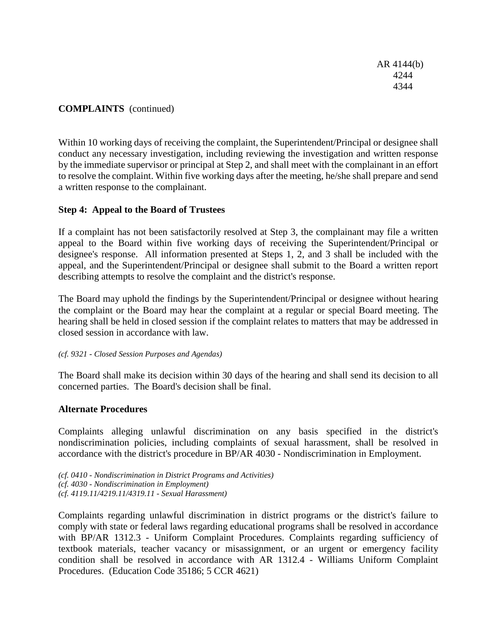AR 4144(b) 4244 4344

# **COMPLAINTS** (continued)

Within 10 working days of receiving the complaint, the Superintendent/Principal or designee shall conduct any necessary investigation, including reviewing the investigation and written response by the immediate supervisor or principal at Step 2, and shall meet with the complainant in an effort to resolve the complaint. Within five working days after the meeting, he/she shall prepare and send a written response to the complainant.

## **Step 4: Appeal to the Board of Trustees**

If a complaint has not been satisfactorily resolved at Step 3, the complainant may file a written appeal to the Board within five working days of receiving the Superintendent/Principal or designee's response. All information presented at Steps 1, 2, and 3 shall be included with the appeal, and the Superintendent/Principal or designee shall submit to the Board a written report describing attempts to resolve the complaint and the district's response.

The Board may uphold the findings by the Superintendent/Principal or designee without hearing the complaint or the Board may hear the complaint at a regular or special Board meeting. The hearing shall be held in closed session if the complaint relates to matters that may be addressed in closed session in accordance with law.

#### *(cf. 9321 - Closed Session Purposes and Agendas)*

The Board shall make its decision within 30 days of the hearing and shall send its decision to all concerned parties. The Board's decision shall be final.

## **Alternate Procedures**

Complaints alleging unlawful discrimination on any basis specified in the district's nondiscrimination policies, including complaints of sexual harassment, shall be resolved in accordance with the district's procedure in BP/AR 4030 - Nondiscrimination in Employment.

*(cf. 0410 - Nondiscrimination in District Programs and Activities) (cf. 4030 - Nondiscrimination in Employment) (cf. 4119.11/4219.11/4319.11 - Sexual Harassment)*

Complaints regarding unlawful discrimination in district programs or the district's failure to comply with state or federal laws regarding educational programs shall be resolved in accordance with BP/AR 1312.3 - Uniform Complaint Procedures. Complaints regarding sufficiency of textbook materials, teacher vacancy or misassignment, or an urgent or emergency facility condition shall be resolved in accordance with AR 1312.4 - Williams Uniform Complaint Procedures. (Education Code 35186; 5 CCR 4621)